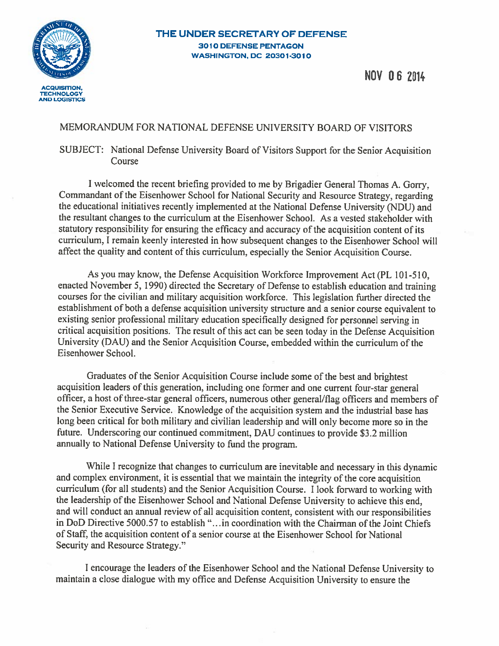

NOV 082014

## MEMORANDUM FOR NATIONAL DEFENSE UNIVERSITY BOARD OF VISITORS

## SUBJECT: National Defense University Board of Visitors Support for the Senior Acquisition Course

<sup>I</sup> welcomed the recent briefing provided to me by Brigadier General Thomas A. Gorry, Commandant of the Eisenhower School for National Security and Resource Strategy, regarding the educational initiatives recently implemented at the National Defense University (NDU) and the resultant changes to the curriculum at the Eisenhower School. As a vested stakeholder with statutory responsibility for ensuring the efficacy and accuracy of the acquisition content of its curriculum. <sup>I</sup> remain keenly interested in how subsequent changes to the Eisenhower School will affect the quality and content of this curriculum, especially the Senior Acquisition Course.

As you may know, the Defense Acquisition Workforce Improvement Act (PL 101-510, enacted November 5, 1990) directed the Secretary of Defense to establish education and training courses for the civilian and military acquisition workforce. This legislation further directed the establishment of both a defense acquisition university structure and a senior course equivalent to existing senior professional military education specifically designed for personnel serving in critical acquisition positions. The result of this act can be seen today in the Defense Acquisition University (DAU) and the Senior Acquisition Course, embedded within the curriculum of the Eisenhower School.

Graduates of the Senior Acquisition Course include some of the best and brightest acquisition leaders of this generation, including one former and one current four-star general officer, a host of three-star general officers, numerous other general/flag officers and members of the Senior Executive Service. Knowledge of the acquisition system and the industrial base has long been critical for both military and civilian leadership and will only become more so in the future. Underscoring our continued commitment, DAU continues to provide \$3.2 million annually to National Defense University to find the program.

While <sup>I</sup> recognize that changes to curriculum are inevitable and necessary in this dynamic and complex environment, it is essential that we maintain the integrity of the core acquisition curriculum (for all students) and the Senior Acquisition Course. I look forward to working with the leadership of the Eisenhower School and National Defense University to achieve this end, and will conduct an annual review of all acquisition content, consistent with our responsibilities in DoD Directive 5000.57 to establish "...in coordination with the Chairman of the Joint Chiefs of Staff, the acquisition content of a senior course at the Eisenhower School for National Security and Resource Strategy."

<sup>I</sup> encourage the leaders of the Eisenhower School and the National Defense University to maintain a close dialogue with my office and Defense Acquisition University to ensure the